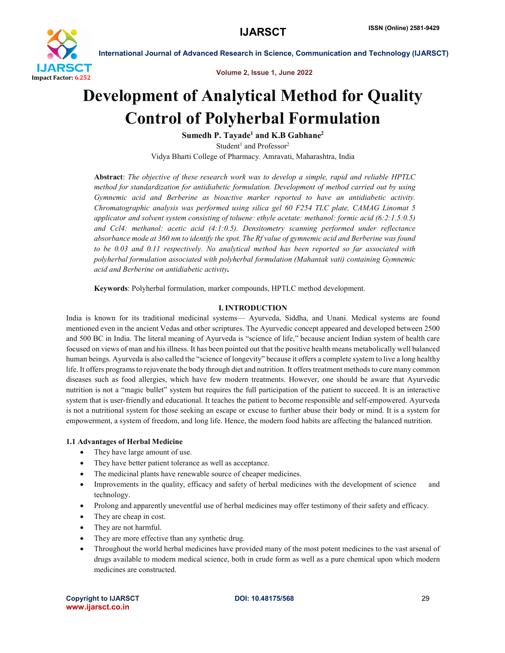

Volume 2, Issue 1, June 2022

# Development of Analytical Method for Quality Control of Polyherbal Formulation

Sumedh P. Tayade<sup>1</sup> and K.B Gabhane<sup>2</sup> Student<sup>1</sup> and Professor<sup>2</sup> Vidya Bharti College of Pharmacy. Amravati, Maharashtra, India

Abstract: *The objective of these research work was to develop a simple, rapid and reliable HPTLC method for standardization for antidiabetic formulation. Development of method carried out by using Gymnemic acid and Berberine as bioactive marker reported to have an antidiabetic activity. Chromatographic analysis was performed using silica gel 60 F254 TLC plate, CAMAG Linomat 5 applicator and solvent system consisting of toluene: ethyle acetate: methanol: formic acid (6:2:1.5:0.5) and Ccl4: methanol: acetic acid (4:1:0.5). Densitometry scanning performed under reflectance absorbance mode at 360 nm to identify the spot. The Rf value of gymnemic acid and Berberine was found to be 0.03 and 0.11 respectively. No analytical method has been reported so far associated with polyherbal formulation associated with polyherbal formulation (Mahantak vati) containing Gymnemic acid and Berberine on antidiabetic activity.*

Keywords: Polyherbal formulation, marker compounds, HPTLC method development.

# I. INTRODUCTION

India is known for its traditional medicinal systems— Ayurveda, Siddha, and Unani. Medical systems are found mentioned even in the ancient Vedas and other scriptures. The Ayurvedic concept appeared and developed between 2500 and 500 BC in India. The literal meaning of Ayurveda is "science of life," because ancient Indian system of health care focused on views of man and his illness. It has been pointed out that the positive health means metabolically well balanced human beings. Ayurveda is also called the "science of longevity" because it offers a complete system to live a long healthy life. It offers programs to rejuvenate the body through diet and nutrition. It offers treatment methods to cure many common diseases such as food allergies, which have few modern treatments. However, one should be aware that Ayurvedic nutrition is not a "magic bullet" system but requires the full participation of the patient to succeed. It is an interactive system that is user-friendly and educational. It teaches the patient to become responsible and self-empowered. Ayurveda is not a nutritional system for those seeking an escape or excuse to further abuse their body or mind. It is a system for empowerment, a system of freedom, and long life. Hence, the modern food habits are affecting the balanced nutrition.

# 1.1 Advantages of Herbal Medicine

- They have large amount of use.
- They have better patient tolerance as well as acceptance.
- The medicinal plants have renewable source of cheaper medicines.
- Improvements in the quality, efficacy and safety of herbal medicines with the development of science and technology.
- Prolong and apparently uneventful use of herbal medicines may offer testimony of their safety and efficacy.
- They are cheap in cost.
- They are not harmful.
- They are more effective than any synthetic drug.
- Throughout the world herbal medicines have provided many of the most potent medicines to the vast arsenal of drugs available to modern medical science, both in crude form as well as a pure chemical upon which modern medicines are constructed.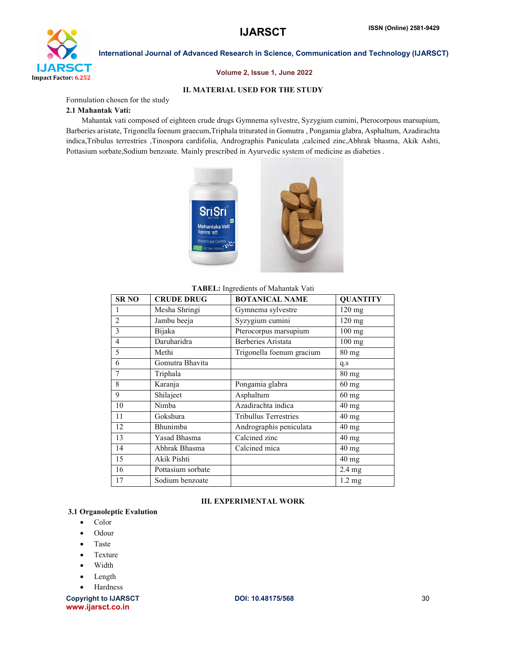

#### Volume 2, Issue 1, June 2022

#### II. MATERIAL USED FOR THE STUDY

Formulation chosen for the study

#### 2.1 Mahantak Vati:

 Mahantak vati composed of eighteen crude drugs Gymnema sylvestre, Syzygium cumini, Pterocorpous marsupium, Barberies aristate, Trigonella foenum graecum,Triphala triturated in Gomutra , Pongamia glabra, Asphaltum, Azadirachta indica,Tribulus terrestries ,Tinospora cardifolia, Andrographis Paniculata ,calcined zinc,Abhrak bhasma, Akik Ashti, Pottasium sorbate,Sodium benzoate. Mainly prescribed in Ayurvedic system of medicine as diabeties .



#### TABEL: Ingredients of Mahantak Vati

| <b>SR NO</b>   | <b>CRUDE DRUG</b> | <b>BOTANICAL NAME</b>        | <b>QUANTITY</b>  |
|----------------|-------------------|------------------------------|------------------|
| 1              | Mesha Shringi     | Gymnema sylvestre            | 120 mg           |
| $\overline{2}$ | Jambu beeja       | Syzygium cumini              | 120 mg           |
| 3              | Bijaka            | Pterocorpus marsupium        | $100$ mg         |
| 4              | Daruharidra       | Berberies Aristata           | $100$ mg         |
| 5              | Methi             | Trigonella foenum gracium    | $80$ mg          |
| 6              | Gomutra Bhavita   |                              | q.s              |
| 7              | Triphala          |                              | 80 mg            |
| 8              | Karanja           | Pongamia glabra              | $60$ mg          |
| 9              | Shilajeet         | Asphaltum                    | $60$ mg          |
| 10             | Nimba             | Azadirachta indica           | 40 mg            |
| 11             | Gokshura          | <b>Tribullus Terrestries</b> | 40 mg            |
| 12             | Bhunimba          | Andrographis peniculata      | 40 mg            |
| 13             | Yasad Bhasma      | Calcined zinc                | $40$ mg          |
| 14             | Abhrak Bhasma     | Calcined mica                | $40$ mg          |
| 15             | Akik Pishti       |                              | $40$ mg          |
| 16             | Pottasium sorbate |                              | $2.4 \text{ mg}$ |
| 17             | Sodium benzoate   |                              | $1.2 \text{ mg}$ |

#### III. EXPERIMENTAL WORK

## 3.1 Organoleptic Evalution

- Color
- Odour
- Taste
- Texture
- Width
- Length
- Hardness

Copyright to IJARSCT **DOI: 10.48175/568** 30 www.ijarsct.co.in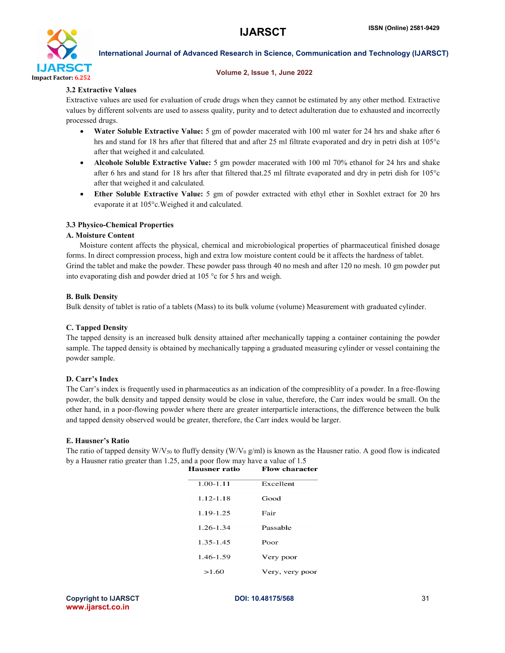

#### Volume 2, Issue 1, June 2022

## 3.2 Extractive Values

Extractive values are used for evaluation of crude drugs when they cannot be estimated by any other method. Extractive values by different solvents are used to assess quality, purity and to detect adulteration due to exhausted and incorrectly processed drugs.

- Water Soluble Extractive Value: 5 gm of powder macerated with 100 ml water for 24 hrs and shake after 6 hrs and stand for 18 hrs after that filtered that and after 25 ml filtrate evaporated and dry in petri dish at 105°c after that weighed it and calculated.
- Alcohole Soluble Extractive Value: 5 gm powder macerated with 100 ml 70% ethanol for 24 hrs and shake after 6 hrs and stand for 18 hrs after that filtered that.25 ml filtrate evaporated and dry in petri dish for 105°c after that weighed it and calculated.
- Ether Soluble Extractive Value: 5 gm of powder extracted with ethyl ether in Soxhlet extract for 20 hrs evaporate it at 105°c.Weighed it and calculated.

## 3.3 Physico-Chemical Properties

#### A. Moisture Content

 Moisture content affects the physical, chemical and microbiological properties of pharmaceutical finished dosage forms. In direct compression process, high and extra low moisture content could be it affects the hardness of tablet. Grind the tablet and make the powder. These powder pass through 40 no mesh and after 120 no mesh. 10 gm powder put into evaporating dish and powder dried at 105 °c for 5 hrs and weigh.

## B. Bulk Density

Bulk density of tablet is ratio of a tablets (Mass) to its bulk volume (volume) Measurement with graduated cylinder.

# C. Tapped Density

The tapped density is an increased bulk density attained after mechanically tapping a container containing the powder sample. The tapped density is obtained by mechanically tapping a graduated measuring cylinder or vessel containing the powder sample.

# D. Carr's Index

The Carr's index is frequently used in pharmaceutics as an indication of the compresiblity of a powder. In a free-flowing powder, the bulk density and tapped density would be close in value, therefore, the Carr index would be small. On the other hand, in a poor-flowing powder where there are greater interparticle interactions, the difference between the bulk and tapped density observed would be greater, therefore, the Carr index would be larger.

### E. Hausner's Ratio

The ratio of tapped density W/V<sub>50</sub> to fluffy density (W/V<sub>0</sub> g/ml) is known as the Hausner ratio. A good flow is indicated by a Hausner ratio greater than 1.25, and a poor flow may have a value of 1.5<br>**Hausner ratio** Flow character

| $1.00 - 1.11$ | Excellent       |
|---------------|-----------------|
| 1.12-1.18     | Good            |
| 1.19-1.25     | Fair            |
| 1.26-1.34     | Passable        |
| 1.35-1.45     | Poor            |
| 1.46-1.59     | Very poor       |
| >1.60         | Very, very poor |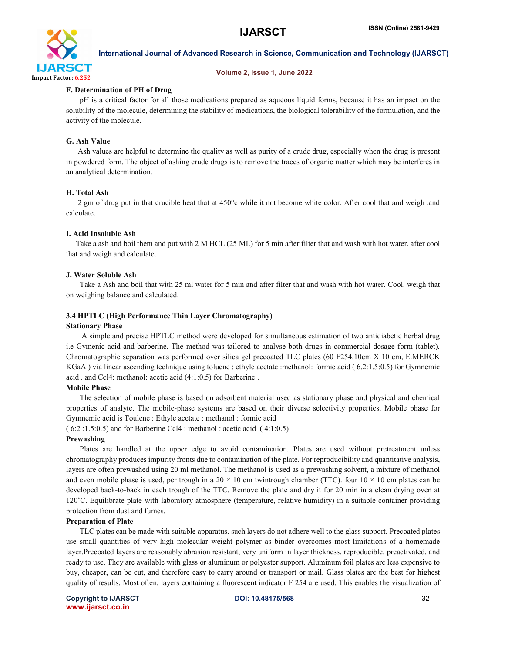

#### Volume 2, Issue 1, June 2022

## F. Determination of PH of Drug

 pH is a critical factor for all those medications prepared as aqueous liquid forms, because it has an impact on the solubility of the molecule, determining the stability of medications, the biological tolerability of the formulation, and the activity of the molecule.

## G. Ash Value

 Ash values are helpful to determine the quality as well as purity of a crude drug, especially when the drug is present in powdered form. The object of ashing crude drugs is to remove the traces of organic matter which may be interferes in an analytical determination.

## H. Total Ash

 2 gm of drug put in that crucible heat that at 450°c while it not become white color. After cool that and weigh .and calculate.

#### I. Acid Insoluble Ash

 Take a ash and boil them and put with 2 M HCL (25 ML) for 5 min after filter that and wash with hot water. after cool that and weigh and calculate.

## J. Water Soluble Ash

 Take a Ash and boil that with 25 ml water for 5 min and after filter that and wash with hot water. Cool. weigh that on weighing balance and calculated.

## 3.4 HPTLC (High Performance Thin Layer Chromatography)

#### Stationary Phase

 A simple and precise HPTLC method were developed for simultaneous estimation of two antidiabetic herbal drug i.e Gymenic acid and barberine. The method was tailored to analyse both drugs in commercial dosage form (tablet). Chromatographic separation was performed over silica gel precoated TLC plates (60 F254,10cm X 10 cm, E.MERCK KGaA) via linear ascending technique using toluene : ethyle acetate :methanol: formic acid (6.2:1.5:0.5) for Gymnemic acid . and Ccl4: methanol: acetic acid (4:1:0.5) for Barberine .

#### Mobile Phase

 The selection of mobile phase is based on adsorbent material used as stationary phase and physical and chemical properties of analyte. The mobile-phase systems are based on their diverse selectivity properties. Mobile phase for Gymnemic acid is Toulene : Ethyle acetate : methanol : formic acid

( 6:2 :1.5:0.5) and for Barberine Ccl4 : methanol : acetic acid ( 4:1:0.5)

#### Prewashing

 Plates are handled at the upper edge to avoid contamination. Plates are used without pretreatment unless chromatography produces impurity fronts due to contamination of the plate. For reproducibility and quantitative analysis, layers are often prewashed using 20 ml methanol. The methanol is used as a prewashing solvent, a mixture of methanol and even mobile phase is used, per trough in a 20  $\times$  10 cm twintrough chamber (TTC). four 10  $\times$  10 cm plates can be developed back-to-back in each trough of the TTC. Remove the plate and dry it for 20 min in a clean drying oven at 120˚C. Equilibrate plate with laboratory atmosphere (temperature, relative humidity) in a suitable container providing protection from dust and fumes.

#### Preparation of Plate

 TLC plates can be made with suitable apparatus. such layers do not adhere well to the glass support. Precoated plates use small quantities of very high molecular weight polymer as binder overcomes most limitations of a homemade layer.Precoated layers are reasonably abrasion resistant, very uniform in layer thickness, reproducible, preactivated, and ready to use. They are available with glass or aluminum or polyester support. Aluminum foil plates are less expensive to buy, cheaper, can be cut, and therefore easy to carry around or transport or mail. Glass plates are the best for highest quality of results. Most often, layers containing a fluorescent indicator F 254 are used. This enables the visualization of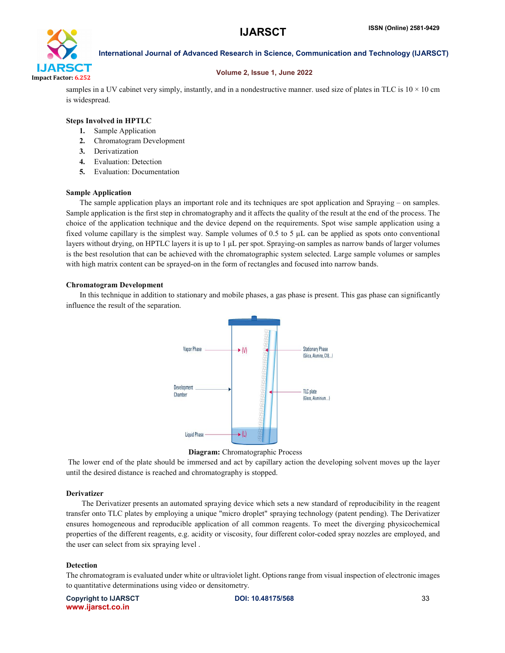

#### Volume 2, Issue 1, June 2022

samples in a UV cabinet very simply, instantly, and in a nondestructive manner. used size of plates in TLC is  $10 \times 10$  cm is widespread.

#### Steps Involved in HPTLC

- 1. Sample Application
- 2. Chromatogram Development
- 3. Derivatization
- 4. Evaluation: Detection
- 5. Evaluation: Documentation

#### Sample Application

 The sample application plays an important role and its techniques are spot application and Spraying – on samples. Sample application is the first step in chromatography and it affects the quality of the result at the end of the process. The choice of the application technique and the device depend on the requirements. Spot wise sample application using a fixed volume capillary is the simplest way. Sample volumes of 0.5 to 5 μL can be applied as spots onto conventional layers without drying, on HPTLC layers it is up to 1 μL per spot. Spraying-on samples as narrow bands of larger volumes is the best resolution that can be achieved with the chromatographic system selected. Large sample volumes or samples with high matrix content can be sprayed-on in the form of rectangles and focused into narrow bands.

#### Chromatogram Development

 In this technique in addition to stationary and mobile phases, a gas phase is present. This gas phase can significantly influence the result of the separation.





The lower end of the plate should be immersed and act by capillary action the developing solvent moves up the layer until the desired distance is reached and chromatography is stopped.

#### Derivatizer

 The Derivatizer presents an automated spraying device which sets a new standard of reproducibility in the reagent transfer onto TLC plates by employing a unique "micro droplet" spraying technology (patent pending). The Derivatizer ensures homogeneous and reproducible application of all common reagents. To meet the diverging physicochemical properties of the different reagents, e.g. acidity or viscosity, four different color-coded spray nozzles are employed, and the user can select from six spraying level .

#### Detection

The chromatogram is evaluated under white or ultraviolet light. Options range from visual inspection of electronic images to quantitative determinations using video or densitometry.

Copyright to IJARSCT **DOI: 10.48175/568** 33 www.ijarsct.co.in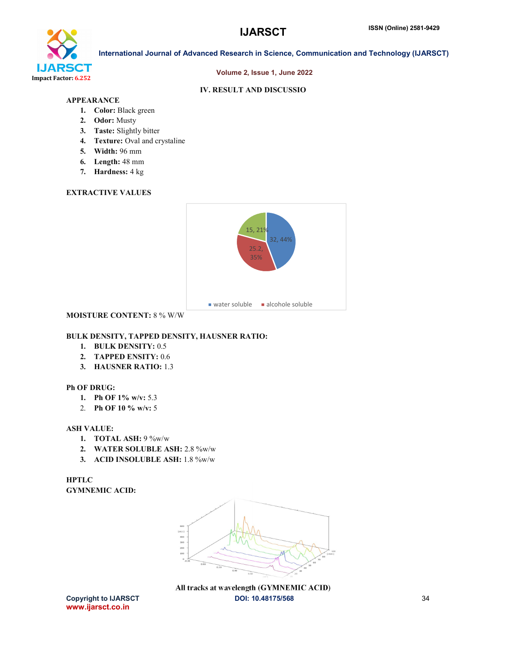

#### Volume 2, Issue 1, June 2022

# IV. RESULT AND DISCUSSIO

# APPEARANCE

- 1. Color: Black green
- 2. Odor: Musty
- 3. Taste: Slightly bitter
- 4. Texture: Oval and crystaline
- 5. Width: 96 mm
- 6. Length: 48 mm
- 7. Hardness: 4 kg

# EXTRACTIVE VALUES



## MOISTURE CONTENT: 8 % W/W

# BULK DENSITY, TAPPED DENSITY, HAUSNER RATIO:

- 1. BULK DENSITY: 0.5
- 2. TAPPED ENSITY: 0.6
- 3. HAUSNER RATIO: 1.3

#### Ph OF DRUG:

- 1. Ph OF 1% w/v: 5.3
- 2. Ph OF 10 % w/v: 5

#### ASH VALUE:

- 1. TOTAL ASH: 9 %w/w
- 2. WATER SOLUBLE ASH: 2.8 %w/w
- 3. ACID INSOLUBLE ASH: 1.8 %w/w

# **HPTLC** GYMNEMIC ACID:



Copyright to IJARSCT **DOI: 10.48175/568** 34 All tracks at wavelength (GYMNEMIC ACID)

www.ijarsct.co.in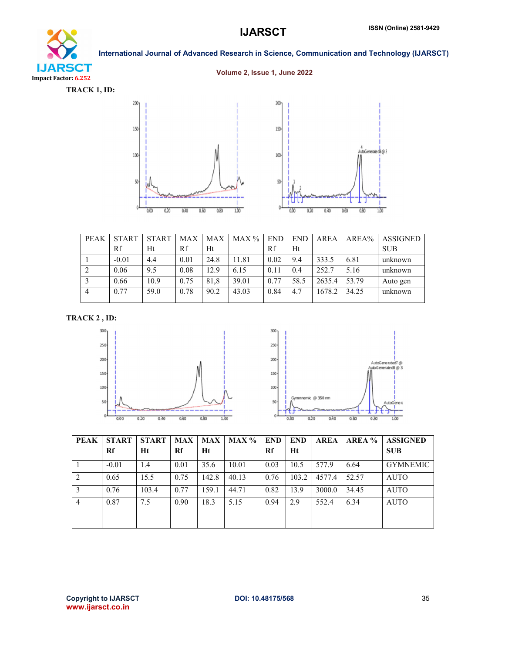# **IJARSCT** Impact Factor: 6.252

# International Journal of Advanced Research in Science, Communication and Technology (IJARSCT)

# Volume 2, Issue 1, June 2022



| <b>PEAK</b>    | <b>START</b> | <b>START</b> | <b>MAX</b> | <b>MAX</b> | MAX % | <b>END</b> | <b>END</b> | <b>AREA</b> | AREA% | <b>ASSIGNED</b> |
|----------------|--------------|--------------|------------|------------|-------|------------|------------|-------------|-------|-----------------|
|                | Rf           | Ht           | Rf         | Ht         |       | Rf         | Ht         |             |       | <b>SUB</b>      |
|                | $-0.01$      | 4.4          | 0.01       | 24.8       | 11.81 | 0.02       | 9.4        | 333.5       | 6.81  | unknown         |
|                | 0.06         | 9.5          | 0.08       | 12.9       | 6.15  | 0.11       | 0.4        | 252.7       | 5.16  | unknown         |
|                | 0.66         | 10.9         | 0.75       | 81.8       | 39.01 | 0.77       | 58.5       | 2635.4      | 53.79 | Auto gen        |
| $\overline{4}$ | 0.77         | 59.0         | 0.78       | 90.2       | 43.03 | 0.84       | 4.7        | 1678.2      | 34.25 | unknown         |

# TRACK 2 , ID:

![](_page_6_Figure_7.jpeg)

![](_page_6_Figure_8.jpeg)

| PEAK           | <b>START</b><br>Rf | <b>START</b><br>Ht | MAX<br>Rf | MAX<br>Ht | <b>MAX</b> % | <b>END</b><br>Rf | <b>END</b><br>Ht | <b>AREA</b> | AREA % | <b>ASSIGNED</b><br><b>SUB</b> |
|----------------|--------------------|--------------------|-----------|-----------|--------------|------------------|------------------|-------------|--------|-------------------------------|
|                | $-0.01$            | 1.4                | 0.01      | 35.6      | 10.01        | 0.03             | 10.5             | 577.9       | 6.64   | <b>GYMNEMIC</b>               |
| 2              | 0.65               | 15.5               | 0.75      | 142.8     | 40.13        | 0.76             | 103.2            | 4577.4      | 52.57  | <b>AUTO</b>                   |
|                | 0.76               | 103.4              | 0.77      | 159.1     | 44.71        | 0.82             | 13.9             | 3000.0      | 34.45  | <b>AUTO</b>                   |
| $\overline{4}$ | 0.87               | 7.5                | 0.90      | 18.3      | 5.15         | 0.94             | 2.9              | 552.4       | 6.34   | <b>AUTO</b>                   |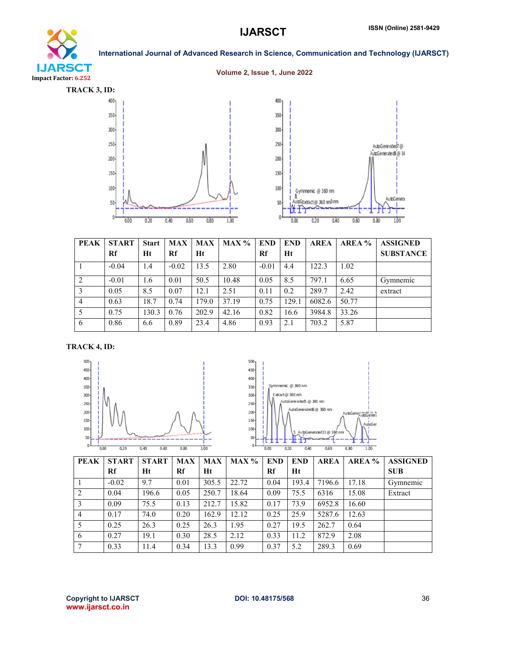# **IJARSCT** Impact Factor: 6.252

International Journal of Advanced Research in Science, Communication and Technology (IJARSCT)

#### Volume 2, Issue 1, June 2022

![](_page_7_Figure_5.jpeg)

![](_page_7_Figure_6.jpeg)

| <b>PEAK</b>    | <b>START</b> | <b>Start</b> | <b>MAX</b> | <b>MAX</b> | MAX % | <b>END</b> | <b>END</b> | <b>AREA</b> | AREA % | <b>ASSIGNED</b>  |
|----------------|--------------|--------------|------------|------------|-------|------------|------------|-------------|--------|------------------|
|                | Rf           | Ht           | Rf         | Ht         |       | Rf         | Ht         |             |        | <b>SUBSTANCE</b> |
|                | $-0.04$      | 1.4          | $-0.02$    | 13.5       | 2.80  | $-0.01$    | 4.4        | 122.3       | 1.02   |                  |
| 2              | $-0.01$      | 1.6          | 0.01       | 50.5       | 10.48 | 0.05       | 8.5        | 797.1       | 6.65   | Gymnemic         |
| 3              | 0.05         | 8.5          | 0.07       | 12.1       | 2.51  | 0.11       | 0.2        | 289.7       | 2.42   | extract          |
| $\overline{4}$ | 0.63         | 18.7         | 0.74       | 179.0      | 37.19 | 0.75       | 129.1      | 6082.6      | 50.77  |                  |
| -5             | 0.75         | 130.3        | 0.76       | 202.9      | 42.16 | 0.82       | 16.6       | 3984.8      | 33.26  |                  |
| 6              | 0.86         | 6.6          | 0.89       | 23.4       | 4.86  | 0.93       | 2.1        | 703.2       | 5.87   |                  |

TRACK 4, ID:

![](_page_7_Figure_9.jpeg)

![](_page_7_Figure_10.jpeg)

| <b>PEAK</b>    | <b>START</b> | <b>START</b> | <b>MAX</b> | <b>MAX</b> | MAX % | <b>END</b> | <b>END</b> | <b>AREA</b> | AREA % | <b>ASSIGNED</b> |
|----------------|--------------|--------------|------------|------------|-------|------------|------------|-------------|--------|-----------------|
|                | Rf           | Ht           | Rf         | Ht         |       | Rf         | Ht         |             |        | <b>SUB</b>      |
|                | $-0.02$      | 9.7          | 0.01       | 305.5      | 22.72 | 0.04       | 193.4      | 7196.6      | 17.18  | Gymnemic        |
| 2              | 0.04         | 196.6        | 0.05       | 250.7      | 18.64 | 0.09       | 75.5       | 6316        | 15.08  | Extract         |
| 3              | 0.09         | 75.5         | 0.13       | 212.7      | 15.82 | 0.17       | 73.9       | 6952.8      | 16.60  |                 |
| $\overline{4}$ | 0.17         | 74.0         | 0.20       | 162.9      | 12.12 | 0.25       | 25.9       | 5287.6      | 12.63  |                 |
| 5              | 0.25         | 26.3         | 0.25       | 26.3       | 1.95  | 0.27       | 19.5       | 262.7       | 0.64   |                 |
| 6              | 0.27         | 19.1         | 0.30       | 28.5       | 2.12  | 0.33       | 11.2       | 872.9       | 2.08   |                 |
| 7              | 0.33         | 11.4         | 0.34       | 13.3       | 0.99  | 0.37       | 5.2        | 289.3       | 0.69   |                 |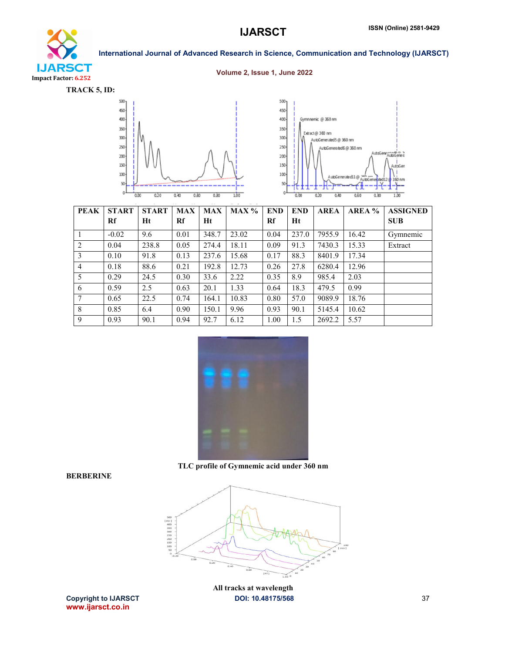![](_page_8_Picture_1.jpeg)

#### Volume 2, Issue 1, June 2022

![](_page_8_Figure_5.jpeg)

![](_page_8_Figure_6.jpeg)

![](_page_8_Figure_7.jpeg)

| <b>PEAK</b>    | <b>START</b> | <b>START</b> | <b>MAX</b> | <b>MAX</b> | MAX % | <b>END</b> | <b>END</b> | <b>AREA</b> | AREA % | <b>ASSIGNED</b> |
|----------------|--------------|--------------|------------|------------|-------|------------|------------|-------------|--------|-----------------|
|                | <b>Rf</b>    | Ht           | Rf         | Ht         |       | Rf         | Ht         |             |        | <b>SUB</b>      |
|                | $-0.02$      | 9.6          | 0.01       | 348.7      | 23.02 | 0.04       | 237.0      | 7955.9      | 16.42  | Gymnemic        |
| 2              | 0.04         | 238.8        | 0.05       | 274.4      | 18.11 | 0.09       | 91.3       | 7430.3      | 15.33  | Extract         |
| 3              | 0.10         | 91.8         | 0.13       | 237.6      | 15.68 | 0.17       | 88.3       | 8401.9      | 17.34  |                 |
| $\overline{4}$ | 0.18         | 88.6         | 0.21       | 192.8      | 12.73 | 0.26       | 27.8       | 6280.4      | 12.96  |                 |
| 5              | 0.29         | 24.5         | 0.30       | 33.6       | 2.22  | 0.35       | 8.9        | 985.4       | 2.03   |                 |
| 6              | 0.59         | 2.5          | 0.63       | 20.1       | 1.33  | 0.64       | 18.3       | 479.5       | 0.99   |                 |
| 7              | 0.65         | 22.5         | 0.74       | 164.1      | 10.83 | 0.80       | 57.0       | 9089.9      | 18.76  |                 |
| 8              | 0.85         | 6.4          | 0.90       | 150.1      | 9.96  | 0.93       | 90.1       | 5145.4      | 10.62  |                 |
| 9              | 0.93         | 90.1         | 0.94       | 92.7       | 6.12  | 1.00       | 1.5        | 2692.2      | 5.57   |                 |

![](_page_8_Picture_9.jpeg)

## BERBERINE

![](_page_8_Figure_11.jpeg)

www.ijarsct.co.in

Copyright to IJARSCT **DOI: 10.48175/568** 37 All tracks at wavelength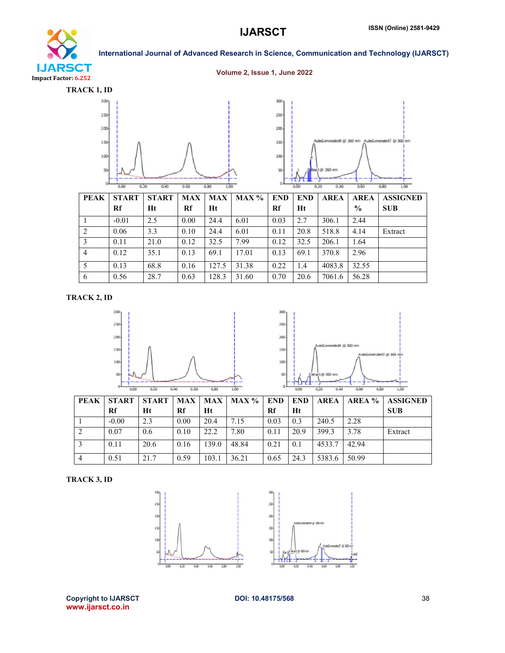# **IJARSCT** Impact Factor: 6.252

# International Journal of Advanced Research in Science, Communication and Technology (IJARSCT)

# Volume 2, Issue 1, June 2022

![](_page_9_Figure_4.jpeg)

| <b>PEAK</b>    | <b>START</b> | <b>START</b> | <b>MAX</b> | <b>MAX</b> | MAX % | <b>END</b> | <b>END</b> | <b>AREA</b> | <b>AREA</b>   | <b>ASSIGNED</b> |
|----------------|--------------|--------------|------------|------------|-------|------------|------------|-------------|---------------|-----------------|
|                | Rf           | Ht           | Rf         | Ht         |       | Rf         | Ht         |             | $\frac{0}{0}$ | <b>SUB</b>      |
|                | $-0.01$      | 2.5          | 0.00       | 24.4       | 6.01  | 0.03       | 2.7        | 306.1       | 2.44          |                 |
| 2              | 0.06         | 3.3          | 0.10       | 24.4       | 6.01  | 0.11       | 20.8       | 518.8       | 4.14          | Extract         |
| 3              | 0.11         | 21.0         | 0.12       | 32.5       | 7.99  | 0.12       | 32.5       | 206.1       | 1.64          |                 |
| $\overline{4}$ | 0.12         | 35.1         | 0.13       | 69.1       | 17.01 | 0.13       | 69.1       | 370.8       | 2.96          |                 |
| 5              | 0.13         | 68.8         | 0.16       | 127.5      | 31.38 | 0.22       | 1.4        | 4083.8      | 32.55         |                 |
| 6              | 0.56         | 28.7         | 0.63       | 128.3      | 31.60 | 0.70       | 20.6       | 7061.6      | 56.28         |                 |

TRACK 2, ID

![](_page_9_Figure_7.jpeg)

![](_page_9_Figure_8.jpeg)

| <b>PEAK</b>    | <b>START</b> | <b>START</b> |      | <b>MAX   MAX</b> | MAX % | <b>END</b> | <b>END</b> | <b>AREA</b> | AREA % | <b>ASSIGNED</b> |
|----------------|--------------|--------------|------|------------------|-------|------------|------------|-------------|--------|-----------------|
|                | Rf           | Ht           | Rf   | Ht               |       | Rf         | Ht         |             |        | <b>SUB</b>      |
|                | $-0.00$      | 2.3          | 0.00 | 20.4             | 7.15  | 0.03       | 0.3        | 240.5       | 2.28   |                 |
| 2              | 0.07         | 0.6          | 0.10 | 22.2             | 7.80  | 0.11       | 20.9       | 399.3       | 3.78   | Extract         |
|                | 0.11         | 20.6         | 0.16 | 139.0            | 48.84 | 0.21       | 0.1        | 4533.7      | 42.94  |                 |
| $\overline{4}$ | 0.51         | 21.7         | 0.59 | 103.1            | 36.21 | 0.65       | 24.3       | 5383.6      | 50.99  |                 |

TRACK 3, ID

![](_page_9_Figure_11.jpeg)

Copyright to IJARSCT DOI: 10.48175/568 38 www.ijarsct.co.in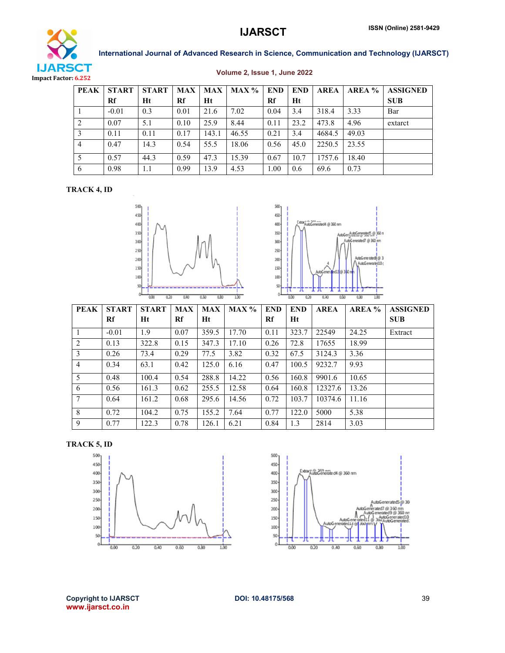![](_page_10_Picture_1.jpeg)

#### Volume 2, Issue 1, June 2022

| <b>PEAK</b> | <b>START</b> | <b>START</b> | <b>MAX</b> | <b>MAX</b> | MAX % | <b>END</b> | <b>END</b> | <b>AREA</b> | AREA % | <b>ASSIGNED</b> |
|-------------|--------------|--------------|------------|------------|-------|------------|------------|-------------|--------|-----------------|
|             | Rf           | Ht           | Rf         | Ht         |       | Rf         | Ht         |             |        | <b>SUB</b>      |
|             | $-0.01$      | 0.3          | 0.01       | 21.6       | 7.02  | 0.04       | 3.4        | 318.4       | 3.33   | Bar             |
| 2           | 0.07         | 5.1          | 0.10       | 25.9       | 8.44  | 0.11       | 23.2       | 473.8       | 4.96   | extarct         |
|             | 0.11         | 0.11         | 0.17       | 143.1      | 46.55 | 0.21       | 3.4        | 4684.5      | 49.03  |                 |
|             | 0.47         | 14.3         | 0.54       | 55.5       | 18.06 | 0.56       | 45.0       | 2250.5      | 23.55  |                 |
|             | 0.57         | 44.3         | 0.59       | 47.3       | 15.39 | 0.67       | 10.7       | 1757.6      | 18.40  |                 |
| 6           | 0.98         | 1.1          | 0.99       | 13.9       | 4.53  | 00.1       | 0.6        | 69.6        | 0.73   |                 |

## TRACK 4, ID

![](_page_10_Figure_6.jpeg)

![](_page_10_Figure_7.jpeg)

| <b>PEAK</b> | <b>START</b> | <b>START</b> | <b>MAX</b> | <b>MAX</b> | <b>MAX</b> % | <b>END</b> | <b>END</b> | <b>AREA</b> | AREA % | <b>ASSIGNED</b> |
|-------------|--------------|--------------|------------|------------|--------------|------------|------------|-------------|--------|-----------------|
|             | Rf           | Ht           | Rf         | Ht         |              | Rf         | Ht         |             |        | <b>SUB</b>      |
|             | $-0.01$      | 1.9          | 0.07       | 359.5      | 17.70        | 0.11       | 323.7      | 22549       | 24.25  | Extract         |
| 2           | 0.13         | 322.8        | 0.15       | 347.3      | 17.10        | 0.26       | 72.8       | 17655       | 18.99  |                 |
| 3           | 0.26         | 73.4         | 0.29       | 77.5       | 3.82         | 0.32       | 67.5       | 3124.3      | 3.36   |                 |
| 4           | 0.34         | 63.1         | 0.42       | 125.0      | 6.16         | 0.47       | 100.5      | 9232.7      | 9.93   |                 |
| 5           | 0.48         | 100.4        | 0.54       | 288.8      | 14.22        | 0.56       | 160.8      | 9901.6      | 10.65  |                 |
| 6           | 0.56         | 161.3        | 0.62       | 255.5      | 12.58        | 0.64       | 160.8      | 12327.6     | 13.26  |                 |
| 7           | 0.64         | 161.2        | 0.68       | 295.6      | 14.56        | 0.72       | 103.7      | 10374.6     | 11.16  |                 |
| 8           | 0.72         | 104.2        | 0.75       | 155.2      | 7.64         | 0.77       | 122.0      | 5000        | 5.38   |                 |
| 9           | 0.77         | 122.3        | 0.78       | 126.1      | 6.21         | 0.84       | 1.3        | 2814        | 3.03   |                 |

![](_page_10_Figure_9.jpeg)

![](_page_10_Figure_10.jpeg)

![](_page_10_Figure_11.jpeg)

Copyright to IJARSCT **DOI: 10.48175/568** 39 www.ijarsct.co.in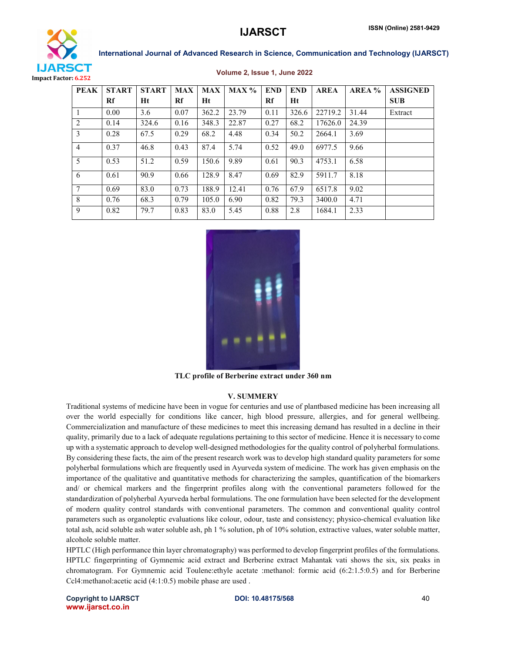![](_page_11_Picture_1.jpeg)

![](_page_11_Picture_2.jpeg)

| <b>PEAK</b>    | <b>START</b> | <b>START</b> | <b>MAX</b> | <b>MAX</b> | MAX % | <b>END</b> | <b>END</b> | <b>AREA</b> | AREA % | <b>ASSIGNED</b> |
|----------------|--------------|--------------|------------|------------|-------|------------|------------|-------------|--------|-----------------|
|                | Rf           | Ht           | Rf         | Ht         |       | Rf         | Ht         |             |        | <b>SUB</b>      |
|                | 0.00         | 3.6          | 0.07       | 362.2      | 23.79 | 0.11       | 326.6      | 22719.2     | 31.44  | Extract         |
| 2              | 0.14         | 324.6        | 0.16       | 348.3      | 22.87 | 0.27       | 68.2       | 17626.0     | 24.39  |                 |
| 3              | 0.28         | 67.5         | 0.29       | 68.2       | 4.48  | 0.34       | 50.2       | 2664.1      | 3.69   |                 |
| $\overline{4}$ | 0.37         | 46.8         | 0.43       | 87.4       | 5.74  | 0.52       | 49.0       | 6977.5      | 9.66   |                 |
| 5              | 0.53         | 51.2         | 0.59       | 150.6      | 9.89  | 0.61       | 90.3       | 4753.1      | 6.58   |                 |
| 6              | 0.61         | 90.9         | 0.66       | 128.9      | 8.47  | 0.69       | 82.9       | 5911.7      | 8.18   |                 |
| $\overline{7}$ | 0.69         | 83.0         | 0.73       | 188.9      | 12.41 | 0.76       | 67.9       | 6517.8      | 9.02   |                 |
| 8              | 0.76         | 68.3         | 0.79       | 105.0      | 6.90  | 0.82       | 79.3       | 3400.0      | 4.71   |                 |
| 9              | 0.82         | 79.7         | 0.83       | 83.0       | 5.45  | 0.88       | 2.8        | 1684.1      | 2.33   |                 |

![](_page_11_Picture_6.jpeg)

TLC profile of Berberine extract under 360 nm

#### V. SUMMERY

Traditional systems of medicine have been in vogue for centuries and use of plantbased medicine has been increasing all over the world especially for conditions like cancer, high blood pressure, allergies, and for general wellbeing. Commercialization and manufacture of these medicines to meet this increasing demand has resulted in a decline in their quality, primarily due to a lack of adequate regulations pertaining to this sector of medicine. Hence it is necessary to come up with a systematic approach to develop well-designed methodologies for the quality control of polyherbal formulations. By considering these facts, the aim of the present research work was to develop high standard quality parameters for some polyherbal formulations which are frequently used in Ayurveda system of medicine. The work has given emphasis on the importance of the qualitative and quantitative methods for characterizing the samples, quantification of the biomarkers and/ or chemical markers and the fingerprint profiles along with the conventional parameters followed for the standardization of polyherbal Ayurveda herbal formulations. The one formulation have been selected for the development of modern quality control standards with conventional parameters. The common and conventional quality control parameters such as organoleptic evaluations like colour, odour, taste and consistency; physico-chemical evaluation like total ash, acid soluble ash water soluble ash, ph 1 % solution, ph of 10% solution, extractive values, water soluble matter, alcohole soluble matter.

HPTLC (High performance thin layer chromatography) was performed to develop fingerprint profiles of the formulations. HPTLC fingerprinting of Gymnemic acid extract and Berberine extract Mahantak vati shows the six, six peaks in chromatogram. For Gymnemic acid Toulene:ethyle acetate :methanol: formic acid (6:2:1.5:0.5) and for Berberine Ccl4:methanol:acetic acid (4:1:0.5) mobile phase are used .

Copyright to IJARSCT **DOI: 10.48175/568** 40 www.ijarsct.co.in